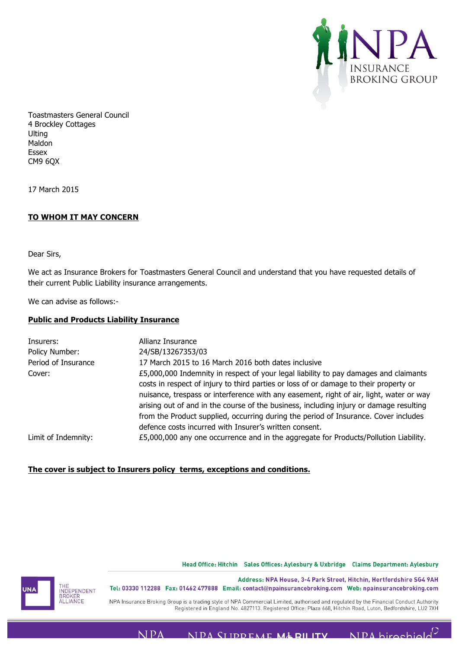

Toastmasters General Council 4 Brockley Cottages Ulting Maldon Essex CM9 6QX

17 March 2015

## **TO WHOM IT MAY CONCERN**

Dear Sirs,

We act as Insurance Brokers for Toastmasters General Council and understand that you have requested details of their current Public Liability insurance arrangements.

We can advise as follows:-

## **Public and Products Liability Insurance**

| Allianz Insurance<br>24/SB/13267353/03                                                                                                                                                                                                                                                                                                                             |
|--------------------------------------------------------------------------------------------------------------------------------------------------------------------------------------------------------------------------------------------------------------------------------------------------------------------------------------------------------------------|
| 17 March 2015 to 16 March 2016 both dates inclusive                                                                                                                                                                                                                                                                                                                |
| £5,000,000 Indemnity in respect of your legal liability to pay damages and claimants<br>costs in respect of injury to third parties or loss of or damage to their property or<br>nuisance, trespass or interference with any easement, right of air, light, water or way<br>arising out of and in the course of the business, including injury or damage resulting |
| from the Product supplied, occurring during the period of Insurance. Cover includes<br>defence costs incurred with Insurer's written consent.<br>£5,000,000 any one occurrence and in the aggregate for Products/Pollution Liability.                                                                                                                              |
|                                                                                                                                                                                                                                                                                                                                                                    |

## **The cover is subject to Insurers policy terms, exceptions and conditions.**

## Head Office: Hitchin Sales Offices: Aylesbury & Uxbridge Claims Department: Aylesbury



Address: NPA House, 3-4 Park Street, Hitchin, Hertfordshire SG4 9AH Tel: 03330 112288 Fax: 01462 477888 Email: contact@npainsurancebroking.com Web: npainsurancebroking.com

NPA Insurance Broking Group is a trading style of NPA Commercial Limited, authorised and regulated by the Financial Conduct Authority Registered in England No. 4827113. Registered Office: Plaza 668, Hitchin Road, Luton, Bedfordshire, LU2 7XH